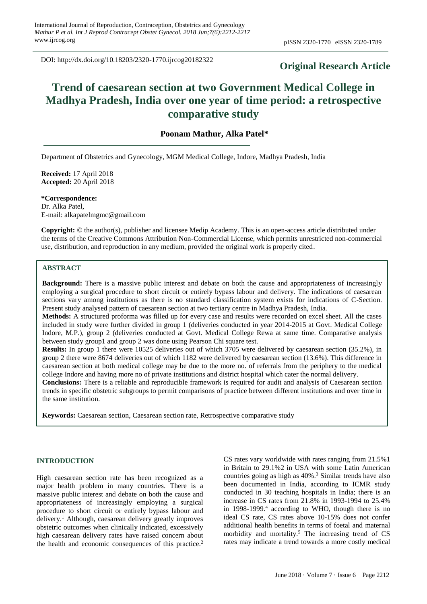DOI: http://dx.doi.org/10.18203/2320-1770.ijrcog20182322

# **Original Research Article**

# **Trend of caesarean section at two Government Medical College in Madhya Pradesh, India over one year of time period: a retrospective comparative study**

# **Poonam Mathur, Alka Patel\***

Department of Obstetrics and Gynecology, MGM Medical College, Indore, Madhya Pradesh, India

**Received:** 17 April 2018 **Accepted:** 20 April 2018

**\*Correspondence:** Dr. Alka Patel, E-mail: alkapatelmgmc@gmail.com

**Copyright:** © the author(s), publisher and licensee Medip Academy. This is an open-access article distributed under the terms of the Creative Commons Attribution Non-Commercial License, which permits unrestricted non-commercial use, distribution, and reproduction in any medium, provided the original work is properly cited.

## **ABSTRACT**

**Background:** There is a massive public interest and debate on both the cause and appropriateness of increasingly employing a surgical procedure to short circuit or entirely bypass labour and delivery. The indications of caesarean sections vary among institutions as there is no standard classification system exists for indications of C-Section. Present study analysed pattern of caesarean section at two tertiary centre in Madhya Pradesh, India.

**Methods:** A structured proforma was filled up for every case and results were recorded on excel sheet. All the cases included in study were further divided in group 1 (deliveries conducted in year 2014-2015 at Govt. Medical College Indore, M.P.), group 2 (deliveries conducted at Govt. Medical College Rewa at same time. Comparative analysis between study group1 and group 2 was done using Pearson Chi square test.

**Results:** In group 1 there were 10525 deliveries out of which 3705 were delivered by caesarean section (35.2%), in group 2 there were 8674 deliveries out of which 1182 were delivered by caesarean section (13.6%). This difference in caesarean section at both medical college may be due to the more no. of referrals from the periphery to the medical college Indore and having more no of private institutions and district hospital which cater the normal delivery.

**Conclusions:** There is a reliable and reproducible framework is required for audit and analysis of Caesarean section trends in specific obstetric subgroups to permit comparisons of practice between different institutions and over time in the same institution.

**Keywords:** Caesarean section, Caesarean section rate, Retrospective comparative study

#### **INTRODUCTION**

High caesarean section rate has been recognized as a major health problem in many countries. There is a massive public interest and debate on both the cause and appropriateness of increasingly employing a surgical procedure to short circuit or entirely bypass labour and delivery.<sup>1</sup> Although, caesarean delivery greatly improves obstetric outcomes when clinically indicated, excessively high caesarean delivery rates have raised concern about the health and economic consequences of this practice.<sup>2</sup> CS rates vary worldwide with rates ranging from 21.5%1 in Britain to 29.1%2 in USA with some Latin American countries going as high as  $40\%$ .<sup>3</sup> Similar trends have also been documented in India, according to ICMR study conducted in 30 teaching hospitals in India; there is an increase in CS rates from 21.8% in 1993-1994 to 25.4% in 1998-1999.<sup>4</sup> according to WHO, though there is no ideal CS rate, CS rates above 10-15% does not confer additional health benefits in terms of foetal and maternal morbidity and mortality.<sup>5</sup> The increasing trend of CS rates may indicate a trend towards a more costly medical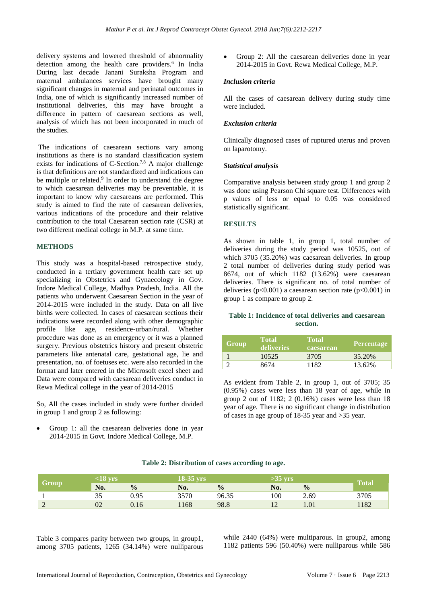delivery systems and lowered threshold of abnormality detection among the health care providers.<sup>6</sup> In India During last decade Janani Suraksha Program and maternal ambulances services have brought many significant changes in maternal and perinatal outcomes in India, one of which is significantly increased number of institutional deliveries, this may have brought a difference in pattern of caesarean sections as well, analysis of which has not been incorporated in much of the studies.

The indications of caesarean sections vary among institutions as there is no standard classification system exists for indications of C-Section.7,8 A major challenge is that definitions are not standardized and indications can be multiple or related.<sup>9</sup> In order to understand the degree to which caesarean deliveries may be preventable, it is important to know why caesareans are performed. This study is aimed to find the rate of caesarean deliveries, various indications of the procedure and their relative contribution to the total Caesarean section rate (CSR) at two different medical college in M.P. at same time.

#### **METHODS**

This study was a hospital-based retrospective study, conducted in a tertiary government health care set up specializing in Obstetrics and Gynaecology in Gov. Indore Medical College, Madhya Pradesh, India. All the patients who underwent Caesarean Section in the year of 2014-2015 were included in the study. Data on all live births were collected. In cases of caesarean sections their indications were recorded along with other demographic profile like age, residence-urban/rural. Whether procedure was done as an emergency or it was a planned surgery. Previous obstetrics history and present obstetric parameters like antenatal care, gestational age, lie and presentation, no. of foetuses etc. were also recorded in the format and later entered in the Microsoft excel sheet and Data were compared with caesarean deliveries conduct in Rewa Medical college in the year of 2014-2015

So, All the cases included in study were further divided in group 1 and group 2 as following:

• Group 1: all the caesarean deliveries done in year 2014-2015 in Govt. Indore Medical College, M.P.

• Group 2: All the caesarean deliveries done in year 2014-2015 in Govt. Rewa Medical College, M.P.

#### *Inclusion criteria*

All the cases of caesarean delivery during study time were included.

#### *Exclusion criteria*

Clinically diagnosed cases of ruptured uterus and proven on laparotomy.

#### *Statistical analysis*

Comparative analysis between study group 1 and group 2 was done using Pearson Chi square test. Differences with p values of less or equal to 0.05 was considered statistically significant.

#### **RESULTS**

As shown in table 1, in group 1, total number of deliveries during the study period was 10525, out of which 3705 (35.20%) was caesarean deliveries. In group 2 total number of deliveries during study period was 8674, out of which 1182 (13.62%) were caesarean deliveries. There is significant no. of total number of deliveries (p<0.001) a caesarean section rate (p<0.001) in group 1 as compare to group 2.

#### **Table 1: Incidence of total deliveries and caesarean section.**

| <b>Group</b> | <b>Total</b><br>deliveries | <b>Total</b><br>caesarean | Percentage |
|--------------|----------------------------|---------------------------|------------|
|              | 10525                      | 3705                      | 35.20%     |
|              | 8674                       | 1182                      | 13.62%     |

As evident from Table 2, in group 1, out of 3705; 35 (0.95%) cases were less than 18 year of age, while in group 2 out of 1182; 2 (0.16%) cases were less than 18 year of age. There is no significant change in distribution of cases in age group of 18-35 year and >35 year.

# **Group <18 yrs 18-35 yrs >35 yrs Total No. % No. % No. %** 1 35 0.95 3570 96.35 100 2.69 3705 2 02 0.16 1168 98.8 12 1.01 1182

**Table 2: Distribution of cases according to age.**

Table 3 compares parity between two groups, in group1, among 3705 patients, 1265 (34.14%) were nulliparous while 2440 (64%) were multiparous. In group2, among 1182 patients 596 (50.40%) were nulliparous while 586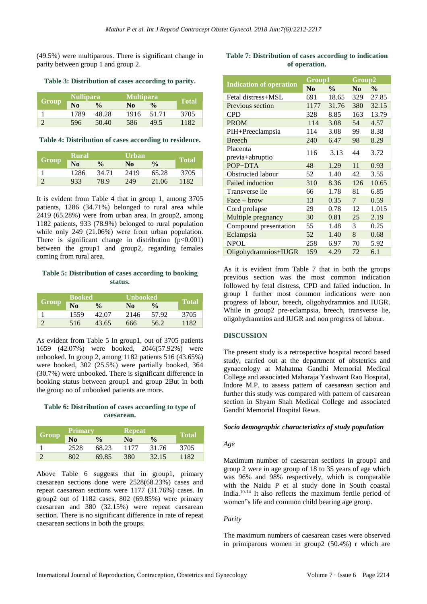(49.5%) were multiparous. There is significant change in parity between group 1 and group 2.

**Table 3: Distribution of cases according to parity.**

| Group | <b>Nullipara</b> |               | <b>Multipara</b> |               |              |
|-------|------------------|---------------|------------------|---------------|--------------|
|       | $\bf No$         | $\frac{0}{0}$ | N <sub>0</sub>   | $\frac{0}{0}$ | <b>Total</b> |
|       | 1789             | 48.28         | 1916             | 51.71         | 3705         |
|       | 596              | 50.40         | 586              | 49.5          | 1182         |

**Table 4: Distribution of cases according to residence.**

| <b>Group</b> | <b>Rural</b>   |               | <b>Urban</b>   |               |              |
|--------------|----------------|---------------|----------------|---------------|--------------|
|              | N <sub>0</sub> | $\frac{0}{0}$ | N <sub>0</sub> | $\frac{0}{0}$ | <b>Total</b> |
|              | 1286           | 34.71         | 2419           | 65.28         | 3705         |
|              | 933            | 78.9          | 249            | 21.06         | 1182         |

It is evident from Table 4 that in group 1, among 3705 patients, 1286 (34.71%) belonged to rural area while 2419 (65.28%) were from urban area. In group2, among 1182 patients, 933 (78.9%) belonged to rural population while only 249 (21.06%) were from urban population. There is significant change in distribution  $(p<0.001)$ between the group1 and group2, regarding females coming from rural area.

## **Table 5: Distribution of cases according to booking status.**

| <b>Group</b> | <b>Booked</b>  |               | <b>Unbooked</b> |               |              |
|--------------|----------------|---------------|-----------------|---------------|--------------|
|              | N <sub>0</sub> | $\frac{0}{0}$ | N <sub>0</sub>  | $\frac{0}{0}$ | <b>Total</b> |
|              | 1559           | 42.07         | 2146            | 57.92         | 3705         |
|              | 516            | 43.65         | 666             | 56.2          | 1182         |

As evident from Table 5 In group1, out of 3705 patients 1659 (42.07%) were booked, 2046(57.92%) were unbooked. In group 2, among 1182 patients 516 (43.65%) were booked, 302 (25.5%) were partially booked, 364 (30.7%) were unbooked. There is significant difference in booking status between group1 and group 2But in both the group no of unbooked patients are more.

# **Table 6: Distribution of cases according to type of caesarean.**

| <b>Group</b> | <b>Primary</b> |               | <b>Repeat</b>  |               |              |
|--------------|----------------|---------------|----------------|---------------|--------------|
|              | N <sub>0</sub> | $\frac{0}{0}$ | N <sub>0</sub> | $\frac{0}{0}$ | <b>Total</b> |
|              | 2528           | 68.23         | 1177           | 31.76         | 3705         |
|              | 802            | 69.85         | 380            | 32.15         | 1182         |

Above Table 6 suggests that in group1, primary caesarean sections done were 2528(68.23%) cases and repeat caesarean sections were 1177 (31.76%) cases. In group2 out of 1182 cases, 802 (69.85%) were primary caesarean and 380 (32.15%) were repeat caesarean section. There is no significant difference in rate of repeat caesarean sections in both the groups.

# **Table 7: Distribution of cases according to indication of operation.**

|                                | Group1         |               | Group2 |               |
|--------------------------------|----------------|---------------|--------|---------------|
| <b>Indication of operation</b> | N <sub>0</sub> | $\frac{0}{0}$ | No.    | $\frac{0}{0}$ |
| Fetal distress+MSL             | 691            | 18.65         | 329    | 27.85         |
| Previous section               | 1177           | 31.76         | 380    | 32.15         |
| <b>CPD</b>                     | 328            | 8.85          | 163    | 13.79         |
| <b>PROM</b>                    | 114            | 3.08          | 54     | 4.57          |
| PIH+Preeclampsia               | 114            | 3.08          | 99     | 8.38          |
| <b>Breech</b>                  | 240            | 6.47          | 98     | 8.29          |
| Placenta<br>previa+abruptio    | 116            | 3.13          | 44     | 3.72          |
| POP+DTA                        | 48             | 1.29          | 11     | 0.93          |
| Obstructed labour              | 52             | 1.40          | 42     | 3.55          |
| <b>Failed induction</b>        | 310            | 8.36          | 126    | 10.65         |
| Transverse lie                 | 66             | 1.78          | 81     | 6.85          |
| $Face + brown$                 | 13             | 0.35          | 7      | 0.59          |
| Cord prolapse                  | 29             | 0.78          | 12     | 1.015         |
| Multiple pregnancy             | 30             | 0.81          | 25     | 2.19          |
| Compound presentation          | 55             | 1.48          | 3      | 0.25          |
| Eclampsia                      | 52             | 1.40          | 8      | 0.68          |
| <b>NPOL</b>                    | 258            | 6.97          | 70     | 5.92          |
| Oligohydramnios+IUGR           | 159            | 4.29          | 72     | 6.1           |

As it is evident from Table 7 that in both the groups previous section was the most common indication followed by fetal distress, CPD and failed induction. In group 1 further most common indications were non progress of labour, breech, oligohydramnios and IUGR. While in group2 pre-eclampsia, breech, transverse lie, oligohydramnios and IUGR and non progress of labour.

# **DISCUSSION**

The present study is a retrospective hospital record based study, carried out at the department of obstetrics and gynaecology at Mahatma Gandhi Memorial Medical College and associated Maharaja Yashwant Rao Hospital, Indore M.P. to assess pattern of caesarean section and further this study was compared with pattern of caesarean section in Shyam Shah Medical College and associated Gandhi Memorial Hospital Rewa.

## *Socio demographic characteristics of study population*

## *Age*

Maximum number of caesarean sections in group1 and group 2 were in age group of 18 to 35 years of age which was 96% and 98% respectively, which is comparable with the Naidu P et al study done in South coastal India.10-14 It also reflects the maximum fertile period of women"s life and common child bearing age group.

## *Parity*

The maximum numbers of caesarean cases were observed in primiparous women in group2 (50.4%) r which are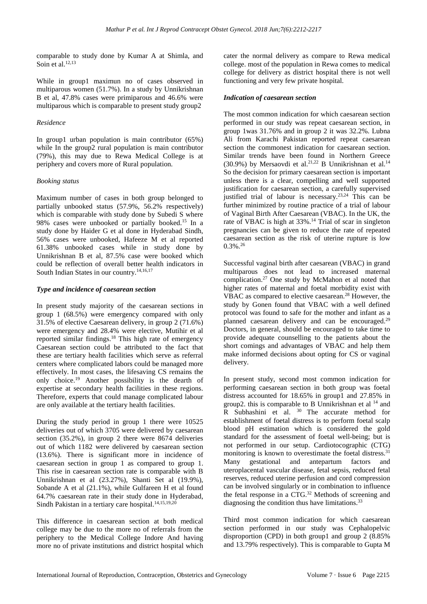comparable to study done by Kumar A at Shimla, and Soin et al.<sup>12,13</sup>

While in group1 maximun no of cases observed in multiparous women (51.7%). In a study by Unnikrishnan B et al, 47.8% cases were primiparous and 46.6% were multiparous which is comparable to present study group2

# *Residence*

In group1 urban population is main contributor (65%) while In the group2 rural population is main contributor (79%), this may due to Rewa Medical College is at periphery and covers more of Rural population.

# *Booking status*

Maximum number of cases in both group belonged to partially unbooked status (57.9%, 56.2% respectively) which is comparable with study done by Subedi S where 98% cases were unbooked or partially booked.<sup>15</sup> In a study done by Haider G et al done in Hyderabad Sindh, 56% cases were unbooked, Hafeeze M et al reported 61.38% unbooked cases while in study done by Unnikrishnan B et al, 87.5% case were booked which could be reflection of overall better health indicators in South Indian States in our country.<sup>14,16,17</sup>

# *Type and incidence of caesarean section*

In present study majority of the caesarean sections in group 1 (68.5%) were emergency compared with only 31.5% of elective Caesarean delivery, in group 2 (71.6%) were emergency and 28.4% were elective, Mutihir et al reported similar findings.<sup>18</sup> This high rate of emergency Caesarean section could be attributed to the fact that these are tertiary health facilities which serve as referral centers where complicated labors could be managed more effectively. In most cases, the lifesaving CS remains the only choice.<sup>19</sup> Another possibility is the dearth of expertise at secondary health facilities in these regions. Therefore, experts that could manage complicated labour are only available at the tertiary health facilities.

During the study period in group 1 there were 10525 deliveries out of which 3705 were delivered by caesarean section (35.2%), in group 2 there were 8674 deliveries out of which 1182 were delivered by caesarean section (13.6%). There is significant more in incidence of caesarean section in group 1 as compared to group 1. This rise in caesarean section rate is comparable with B Unnikrishnan et al (23.27%), Shanti Set al (19.9%), Sobande A et al (21.1%), while Gulfareen H et al found 64.7% caesarean rate in their study done in Hyderabad, Sindh Pakistan in a tertiary care hospital.<sup>14,15,19,20</sup>

This difference in caesarean section at both medical college may be due to the more no of referrals from the periphery to the Medical College Indore And having more no of private institutions and district hospital which cater the normal delivery as compare to Rewa medical college. most of the population in Rewa comes to medical college for delivery as district hospital there is not well functioning and very few private hospital.

# *Indication of caesarean section*

The most common indication for which caesarean section performed in our study was repeat caesarean section, in group 1was 31.76% and in group 2 it was 32.2%. Lubna Ali from Karachi Pakistan reported repeat caesarean section the commonest indication for caesarean section. Similar trends have been found in Northern Greece (30.9%) by Mersaovdi et al.<sup>21,22</sup> B Unnikrishnan et al.<sup>14</sup> So the decision for primary caesarean section is important unless there is a clear, compelling and well supported justification for caesarean section, a carefully supervised justified trial of labour is necessary.23,24 This can be further minimized by routine practice of a trial of labour of Vaginal Birth After Caesarean (VBAC). In the UK, the rate of VBAC is high at 33%.<sup>14</sup> Trial of scar in singleton pregnancies can be given to reduce the rate of repeated caesarean section as the risk of uterine rupture is low 0.3%.<sup>26</sup>

Successful vaginal birth after caesarean (VBAC) in grand multiparous does not lead to increased maternal complication.<sup>27</sup> One study by McMahon et al noted that higher rates of maternal and foetal morbidity exist with VBAC as compared to elective caesarean.<sup>28</sup> However, the study by Gonen found that VBAC with a well defined protocol was found to safe for the mother and infant as a planned caesarean delivery and can be encouraged.<sup>29</sup> Doctors, in general, should be encouraged to take time to provide adequate counselling to the patients about the short comings and advantages of VBAC and help them make informed decisions about opting for CS or vaginal delivery.

In present study, second most common indication for performing caesarean section in both group was foetal distress accounted for 18.65% in group1 and 27.85% in group2. this is comparable to B Unnikrishnan et al <sup>14</sup> and  $R$  Subhashini et al.  $30$  The accurate method for establishment of foetal distress is to perform foetal scalp blood pH estimation which is considered the gold standard for the assessment of foetal well-being; but is not performed in our setup. Cardiotocographic (CTG) monitoring is known to overestimate the foetal distress.<sup>31</sup> Many gestational and antepartum factors and uteroplacental vascular disease, fetal sepsis, reduced fetal reserves, reduced uterine perfusion and cord compression can be involved singularly or in combination to influence the fetal response in a CTG.<sup>32</sup> Methods of screening and diagnosing the condition thus have limitations.<sup>33</sup>

Third most common indication for which caesarean section performed in our study was Cephalopelvic disproportion (CPD) in both group1 and group 2 (8.85% and 13.79% respectively). This is comparable to Gupta M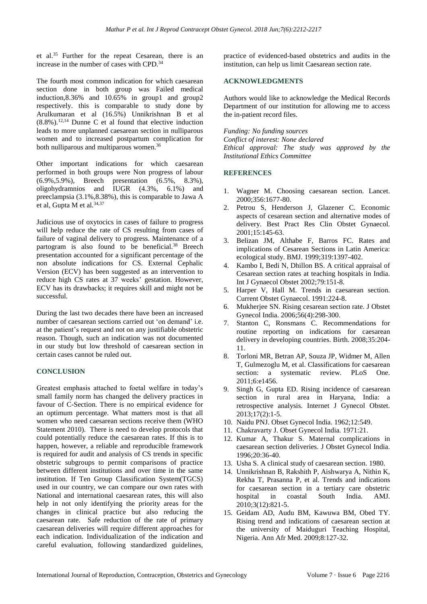et al.<sup>35</sup> Further for the repeat Cesarean, there is an increase in the number of cases with CPD.<sup>3</sup>

The fourth most common indication for which caesarean section done in both group was Failed medical induction,8.36% and 10.65% in group1 and group2 respectively. this is comparable to study done by Arulkumaran et al (16.5%) Unnikrishnan B et al  $(8.8\%)$ .<sup>12,14</sup> Dunne C et al found that elective induction leads to more unplanned caesarean section in nulliparous women and to increased postpartum complication for both nulliparous and multiparous women.<sup>36</sup>

Other important indications for which caesarean performed in both groups were Non progress of labour (6.9%,5.9%), Breech presentation (6.5%, 8.3%), oligohydramnios and IUGR (4.3%, 6.1%) and preeclampsia (3.1%,8.38%), this is comparable to Jawa A et al, Gupta M et al.<sup>34,37</sup>

Judicious use of oxytocics in cases of failure to progress will help reduce the rate of CS resulting from cases of failure of vaginal delivery to progress. Maintenance of a partogram is also found to be beneficial.<sup>38</sup> Breech presentation accounted for a significant percentage of the non absolute indications for CS. External Cephalic Version (ECV) has been suggested as an intervention to reduce high CS rates at 37 weeks' gestation. However, ECV has its drawbacks; it requires skill and might not be successful.

During the last two decades there have been an increased number of caesarean sections carried out 'on demand' i.e. at the patient's request and not on any justifiable obstetric reason. Though, such an indication was not documented in our study but low threshold of caesarean section in certain cases cannot be ruled out.

# **CONCLUSION**

Greatest emphasis attached to foetal welfare in today's small family norm has changed the delivery practices in favour of C-Section. There is no empirical evidence for an optimum percentage. What matters most is that all women who need caesarean sections receive them (WHO Statement 2010). There is need to develop protocols that could potentially reduce the caesarean rates. If this is to happen, however, a reliable and reproducible framework is required for audit and analysis of CS trends in specific obstetric subgroups to permit comparisons of practice between different institutions and over time in the same institution. If Ten Group Classification System(TGCS) used in our country, we can compare our own rates with National and international caesarean rates, this will also help in not only identifying the priority areas for the changes in clinical practice but also reducing the caesarean rate. Safe reduction of the rate of primary caesarean deliveries will require different approaches for each indication. Individualization of the indication and careful evaluation, following standardized guidelines, practice of evidenced-based obstetrics and audits in the institution, can help us limit Caesarean section rate.

#### **ACKNOWLEDGMENTS**

Authors would like to acknowledge the Medical Records Department of our institution for allowing me to access the in-patient record files.

*Funding: No funding sources Conflict of interest: None declared Ethical approval: The study was approved by the Institutional Ethics Committee*

## **REFERENCES**

- 1. Wagner M. Choosing caesarean section. Lancet. 2000;356:1677-80.
- 2. Petrou S, Henderson J, Glazener C. Economic aspects of cesarean section and alternative modes of delivery. Best Pract Res Clin Obstet Gynaecol. 2001;15:145-63.
- 3. Belizan JM, Althabe F, Barros FC. Rates and implications of Cesarean Sections in Latin America: ecological study. BMJ. 1999;319:1397-402.
- 4. Kambo I, Bedi N, Dhillon BS. A critical appraisal of Cesarean section rates at teaching hospitals in India. Int J Gynaecol Obstet 2002;79:151-8.
- 5. Harper V, Hall M. Trends in caesarean section. Current Obstet Gynaecol. 1991:224-8.
- 6. Mukherjee SN. Rising cesarean section rate. J Obstet Gynecol India. 2006;56(4):298-300.
- 7. Stanton C, Ronsmans C. Recommendations for routine reporting on indications for caesarean delivery in developing countries. Birth. 2008;35:204- 11.
- 8. Torloni MR, Betran AP, Souza JP, Widmer M, Allen T, Gulmezoglu M, et al. Classifications for caesarean section: a systematic review. PLoS One. 2011;6:e1456.
- 9. Singh G, Gupta ED. Rising incidence of caesarean section in rural area in Haryana, India: a retrospective analysis. Internet J Gynecol Obstet. 2013;17(2):1-5.
- 10. Naidu PNJ. Obset Gynecol India. 1962;12:549.
- 11. Chakravarty J. Obset Gynecol India. 1971:21.
- 12. Kumar A, Thakur S. Maternal complications in caesarean section deliveries. J Obstet Gynecol India. 1996;20:36-40.
- 13. Usha S. A clinical study of caesarean section. 1980.
- 14. Unnikrishnan B, Rakshith P, Aishwarya A, Nithin K, Rekha T, Prasanna P, et al. Trends and indications for caesarean section in a tertiary care obstetric hospital in coastal South India. AMJ. 2010;3(12):821-5.
- 15. Geidam AD, Audu BM, Kawuwa BM, Obed TY. Rising trend and indications of caesarean section at the university of Maiduguri Teaching Hospital, Nigeria. Ann Afr Med. 2009;8:127-32.